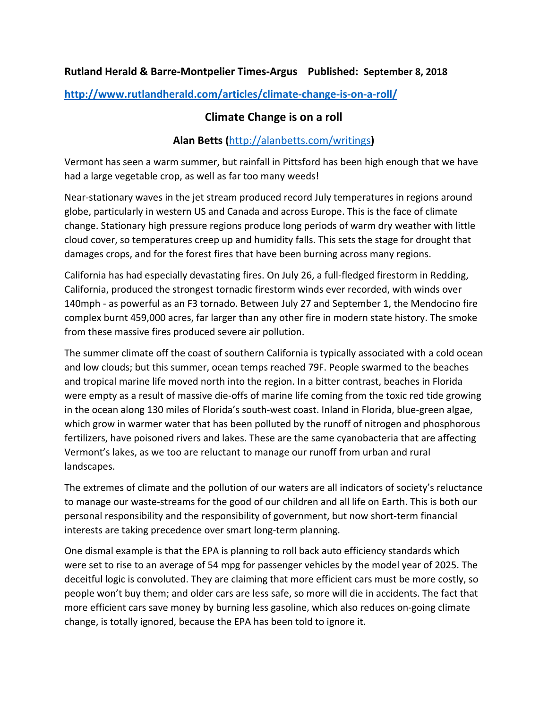## **Rutland Herald & Barre-Montpelier Times-Argus Published: September 8, 2018**

**<http://www.rutlandherald.com/articles/climate-change-is-on-a-roll/>**

## **Climate Change is on a roll**

## **Alan Betts (**<http://alanbetts.com/writings>**)**

Vermont has seen a warm summer, but rainfall in Pittsford has been high enough that we have had a large vegetable crop, as well as far too many weeds!

Near-stationary waves in the jet stream produced record July temperatures in regions around globe, particularly in western US and Canada and across Europe. This is the face of climate change. Stationary high pressure regions produce long periods of warm dry weather with little cloud cover, so temperatures creep up and humidity falls. This sets the stage for drought that damages crops, and for the forest fires that have been burning across many regions.

California has had especially devastating fires. On July 26, a full-fledged firestorm in Redding, California, produced the strongest tornadic firestorm winds ever recorded, with winds over 140mph - as powerful as an F3 tornado. Between July 27 and September 1, the Mendocino fire complex burnt 459,000 acres, far larger than any other fire in modern state history. The smoke from these massive fires produced severe air pollution.

The summer climate off the coast of southern California is typically associated with a cold ocean and low clouds; but this summer, ocean temps reached 79F. People swarmed to the beaches and tropical marine life moved north into the region. In a bitter contrast, beaches in Florida were empty as a result of massive die-offs of marine life coming from the toxic red tide growing in the ocean along 130 miles of Florida's south-west coast. Inland in Florida, blue-green algae, which grow in warmer water that has been polluted by the runoff of nitrogen and phosphorous fertilizers, have poisoned rivers and lakes. These are the same cyanobacteria that are affecting Vermont's lakes, as we too are reluctant to manage our runoff from urban and rural landscapes.

The extremes of climate and the pollution of our waters are all indicators of society's reluctance to manage our waste-streams for the good of our children and all life on Earth. This is both our personal responsibility and the responsibility of government, but now short-term financial interests are taking precedence over smart long-term planning.

One dismal example is that the EPA is planning to roll back auto efficiency standards which were set to rise to an average of 54 mpg for passenger vehicles by the model year of 2025. The deceitful logic is convoluted. They are claiming that more efficient cars must be more costly, so people won't buy them; and older cars are less safe, so more will die in accidents. The fact that more efficient cars save money by burning less gasoline, which also reduces on-going climate change, is totally ignored, because the EPA has been told to ignore it.